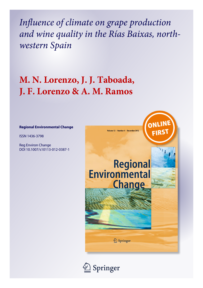*Influence of climate on grape production and wine quality in the Rías Baixas, northwestern Spain*

# **M. N. Lorenzo, J. J. Taboada, J. F. Lorenzo & A. M. Ramos**

# **Regional Environmental Change**

ISSN 1436-3798

Reg Environ Change DOI 10.1007/s10113-012-0387-1



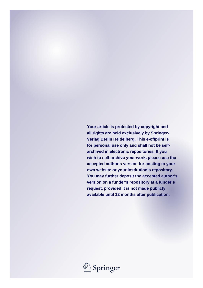**Your article is protected by copyright and all rights are held exclusively by Springer-Verlag Berlin Heidelberg. This e-offprint is for personal use only and shall not be selfarchived in electronic repositories. If you wish to self-archive your work, please use the accepted author's version for posting to your own website or your institution's repository. You may further deposit the accepted author's version on a funder's repository at a funder's request, provided it is not made publicly available until 12 months after publication.**

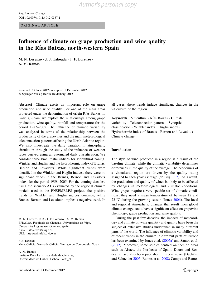ORIGINAL ARTICLE

# Influence of climate on grape production and wine quality in the Rías Baixas, north-western Spain

M. N. Lorenzo • J. J. Taboada • J. F. Lorenzo • A. M. Ramos

Received: 18 June 2012 / Accepted: 1 December 2012 - Springer-Verlag Berlin Heidelberg 2012

Abstract Climate exerts an important role on grape production and wine quality. For one of the main areas protected under the denomination of origin Rı´as Baixas, in Galicia, Spain, we explore the relationships among grape production, wine quality, rainfall and temperature for the period 1987–2005. The influence of climatic variability was analysed in terms of the relationship between the productivity of the grapevines and the main meteorological teleconnection patterns affecting the North Atlantic region. We also investigate the daily variation in atmospheric circulation through the study of the influence of weather types derived using an automated daily classification. We consider three bioclimatic indices for viticultural zoning, Winkler and Huglin, and the hydrothermic index of Branas, Bernon and Levadoux. While significant trends were identified in the Winkler and Huglin indices, there were no significant trends in the Branas, Bernon and Levadoux index, for the period 1958–2005. For the coming decades, using the scenario A1B evaluated by the regional climate models used in the ENSEMBLES project, the positive trends of Winkler and Huglin indices continue, while Branas, Bernon and Levadoux implies a negative trend. In

M. N. Lorenzo ( $\boxtimes$ )  $\cdot$  J. F. Lorenzo  $\cdot$  A. M. Ramos EPhysLab, Facultade de Ciencias, Universidade de Vigo, Campus As Lagoas s/n, Ourense, Spain e-mail: nlorenzo@uvigo.es URL: http://ephyslab.uvigo.es

J. J. Taboada MeteoGalicia, Xunta de Galicia, Santiago de Compostela, Spain

A. M. Ramos Instituto Dom Luiz, Faculdade de Ciencias, Universidade de Lisboa, Lisbon, Portugal

all cases, these trends induce significant changes in the viticulture of the region.

Keywords Viticulture · Rías Baixas · Climate variability - Teleconnection patterns - Synoptic classification - Winkler index - Huglin index - Hydrothermic index of Branas · Bernon and Levadoux · Climate change

#### Introduction

The style of wine produced in a region is a result of the baseline climate, while the climatic variability determines differences in the quality of the vintage. The economics of a viticultural region are driven by the quality rating assigned to each year's vintage (de Blij [1983](#page-11-0)). As a result, the production and quality of wines is likely to be affected by changes in meteorological and climatic conditions. Wine grapes require a very specific set of climatic conditions; they need a mean temperature of between 12 and 22  $\degree$ C during the growing season (Jones [2006\)](#page-11-0). The local and regional atmospheric changes that result from global climate change could have a significant effect on grapevine phenology, grape production and wine quality.

During the past few decades, the impacts of meteorology and climate on wine quantity and quality have been the subject of extensive studies undertaken in many different parts of the world. The influence of climatic variability and of recent trends in the climate in different parts of Europe has been examined by Jones et al. [\(2005a](#page-11-0)) and Santos et al. [\(2012](#page-11-0)). Moreover, some studies centred on specific areas such as Alsace, the Northeast of Spain, Douro and Bordeaux have also been published in recent years (Duchêne and Schneider [2005;](#page-11-0) Ramos et al. [2008;](#page-11-0) Camps and Ramos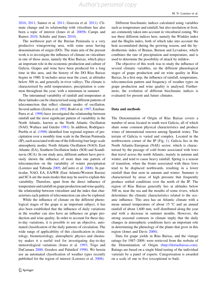[2010,](#page-10-0) [2011;](#page-10-0) Santos et al. [2011;](#page-11-0) Gouveia et al. [2011](#page-11-0)). Climate change and its relationship with viticulture has also been a topic of interest (Jones et al. [2005b](#page-11-0); Camps and Ramos [2010](#page-10-0); Schultz and Jones [2010\)](#page-11-0).

The northwest part of the Iberian Peninsula is a very productive winegrowing area, with some areas having denominations of origin (DO). The main aim of the present work is to investigate the influence of climate on viticulture in one of those areas, namely the Rías Baixas, which plays an important role in the economic production and culture of Galicia. Grapes and wine have been produced for a long time in this area, and the history of the DO Rías Baixas begins in 1980. It includes areas near the coast, at altitudes below 300 m, and generally in river valleys. The climate is characterised by mild temperatures; precipitation is common throughout the year, with a minimum in summer.

The interannual variability of rainfall and temperature at these latitudes can be characterised using different patterns of teleconnection that reflect climatic modes of oscillation. Several authors (Zorita et al. [1992](#page-11-0), Rodó et al. [1997](#page-11-0), Esteban-Parra et al. [1998\)](#page-11-0) have investigated the relationship between rainfall and the most significant pattern of variability in the North Atlantic, known as the North Atlantic Oscillation (NAO; Wallace and Gutzler [1981\)](#page-11-0). In addition, Rodríguez-Puebla et al. [\(1998\)](#page-11-0) identified four regional regimes of precipitation over a monthly time scale in the Iberian Peninsula (IP), each associated with one of the following four large-scale atmospheric modes: North Atlantic Oscillation (NAO), East Atlantic (EA), Southern Oscillation Index (SOI) and Scandinavia (SCA). In our study area, different authors have previously shown the influence of more than one pattern of teleconnection on the variability of winter precipitation (Lorenzo and Taboada [2005;](#page-11-0) deCastro et al. [2006\)](#page-11-0). In particular, NAO, EA, EA/WR (East Atlantic/Western Russia) and SCA are the main modes that may be used to explain this variability. Therefore, apart from the direct influence of temperature and rainfall on grape production and wine quality, the relationship between viticulture and the index that characterises each pattern of teleconnection can also be explored.

While the influence of climate on the different phenological stages of the grape is an important subject, it has also been established that the influence of daily variations in the weather can also have an influence on grape production and wine quality. In order to account for these dayto-day variations, it is possible to use an objective, automated classification of the daily patterns of circulation. The wide range of applicability of this classification in climatology, biometeorology, atmospheric physics and chemistry makes it a useful tool for investigating day-to-day meteorological variations (Jones et al. [1993](#page-11-0); Trigo and DaCamara [2000](#page-11-0); Goodess and Palutikof [1998\)](#page-11-0). We herein use an automated classification of weather types recently published for the region of interest (Lorenzo et al. [2008\)](#page-11-0).

Different bioclimatic indices calculated using variables such as temperature and rainfall, but also insolation or frost, are commonly taken into account in viticultural zoning. We use three different indices here, namely the Winkler index and the Huglin index, both of which take into account the heat accumulated during the growing season, and the hydrothermic index of Branas, Bernon and Levadoux, which combines the rate of precipitation and temperature, and is used to determine the possibility of attack by mildew.

The objective of this work was to study the influence of several climatic variables, on the different phenological stages of grape production and on wine quality in Rías Baixas. In a first step, the influence of rainfall, temperature, teleconnection pattern and frequency of weather types on grape production and wine quality is analysed. Furthermore, the evolution of different bioclimatic indices is evaluated for present and future climates.

#### Data and methods

The Denomination of Origin of Rías Baixas covers a number of areas located in south west Galicia, all of which share some common physical characteristics and produce wines of international renown among Spanish wines. The terrain of Galicia is varied and complex. Located in the northwestern corner of the IP (Fig. [1](#page-4-0)), Galicia lies in the North Atlantic-European (NAE) sector, which is characterised by the passage of cold fronts associated with lows that travel across the north Atlantic, mainly in autumn and winter, and tend to cause heavy rainfall. Spring is a season of transition, when the fronts associated with these lows tend to be displaced northwards, resulting in a lower rainfall than that seen in autumn and winter. Summer is characterised by areas of high pressure that frequently produce settled conditions over the north of the IP. The region of Rías Baixas generally lies at altitudes below 300 m, near the sea and the mouths of some rivers, which determines the climatic characteristics related to the oceanic influence. This area has an Atlantic climate with a mean annual temperature of about  $15^{\circ}$ C and an annual rainfall of about 1,600 mm, well distributed along the year and with a decrease in summer months. However, the strong seasonal contrasts in climate imply that the daily changes in atmospheric conditions have an important role in determining the phenology of the plants that grow in this region (Jones and Davis [2000](#page-11-0)).

Data for grape yields in Rías Baixas, and the vintage ratings for 1987–2009, were retrieved from the website of the Denomination of Origin (<http://doriasbaixas.com>). Ratings are based on a single blind tasting of the individual varietals by a panel of experts. Categorisation is awarded on a scale of one to five (exceptional to bad).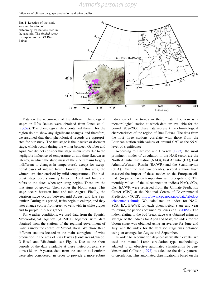## <span id="page-4-0"></span>Influence of climate on grape production and wine quality

Fig. 1 Location of the study area and location of meteorological stations used in the analysis. The shaded areas correspond to the DO Rias Baixas



Data on the occurrence of the different phenological stages in Rías Baixas were obtained from Jones et al. [\(2005a\)](#page-11-0). The phenological data contained therein for the region do not show any significant changes, and therefore, we assumed that their phenological records are appropriated for our study. The first stage is the inactive or dormant stage, which occurs during the winter between October and April. We did not consider this stage in our study due to the negligible influence of temperature at this time (known as latency, in which the static mass of the vine remains largely indifferent to changes in temperature), except for exceptional cases of intense frost. However, in this area, the winters are characterised by mild temperatures. The budbreak stage occurs usually between April and June and refers to the dates when sprouting begins. These are the first signs of growth. Then comes the bloom stage. This stage occurs between June and mid-August. Finally, the véraison stage occurs between mid-August and late September. During this period, fruits begin to enlarge, and they later change colour from green to yellowish in white grapes and to purple in black grapes.

For weather conditions, we used data from the Spanish Meteorological Agency (AEMET) together with data obtained from the stations of the regional government of Galicia under the control of MeteoGalicia. We chose three different stations located in the main subregions of wine production in the area of Rı´as Baixas (Ponteareas-Canedo, O Rosal and Ribadumia; see Fig. 1). Due to the short periods of the data available at these meteorological stations (18 or 19 years), data from the station at Lourizán were also considered, in order to provide a more robust indication of the trends in the climate. Lourizán is a meteorological station at which data are available for the period 1958–2005; these data represent the climatological characteristics of the region of Rı´as Baixas. The data from the first three stations correlate with those from the Lourizan station with values of around 0.97 at the 95 % level of significance.

According to Barnston and Livezey [\(1987](#page-10-0)), the most prominent modes of circulation in the NAE sector are the North Atlantic Oscillation (NAO), East Atlantic (EA), East Atlantic/Western Russia (EA/WR) and the Scandinavian (SCA). Over the last two decades, several authors have assessed the impact of these modes on the European climate (in particular on temperature and precipitation). The monthly values of the teleconnection indices NAO, SCA, EA, EA/WR were retrieved from the Climate Prediction Center (CPC) at the National Centre of Environmental Prediction (NCEP; [http://www.cpc.noaa.gov/data/teledoc/](http://www.cpc.noaa.gov/data/teledoc/telecontents.shtml) [telecontents.shtml\)](http://www.cpc.noaa.gov/data/teledoc/telecontents.shtml). We calculated an index for NAO, SCA, EA, EA/WR for each phenological stage and year following the periods obtained by Jones et al. ([2005a](#page-11-0)). The index relating to the bud-break stage was obtained using an average of the indices for April and May, the index for the bloom stage was obtained using an average for June and July, and the index for the véraison stage was obtained using an average for August and September.

In order to account for day-to-day weather events, we used the manual Lamb circulation type methodology adapted to an objective automated classification by Jenkinson and Collison [\(1977](#page-11-0)) to calculate the daily patterns of circulation. This automated classification is based on the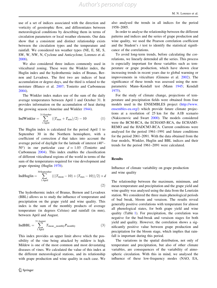use of a set of indices associated with the direction and vorticity of geostrophic flow, and differentiates between meteorological conditions by describing them in terms of circulation parameters or local weather elements. Our data show that a consistent and distinct relationship exists between the circulation types and the temperature and rainfall. We considered ten weather types (NE, E, SE, S, SW, W, NW, N, Cyclone and Anticyclone; Lorenzo et al. [2008\)](#page-11-0).

We also considered three indices commonly used in viticultural zoning. These were the Winkler index, the Huglin index and the hydrothermic index of Branas, Bernon and Levadoux. The first two are indices of heat accumulation or degree-days, and the third is related to the moisture (Blanco et al. [2007;](#page-10-0) Tonietto and Carbonneau [2004\)](#page-11-0).

The Winkler index makes use of the sum of the daily average temperatures between April 1 and October 31. It provides information on the accumulation of heat during the growing season (Amerine and Winkler [1944\)](#page-10-0).

$$
IndWinkler = \sum_{1 \text{ April}}^{31 \text{ October}} ((T_{\text{max}} + T_{\text{min}})/2) - 10
$$
 (1)

The Huglin index is calculated for the period April 1 to September 30 in the Northern hemisphere, with a coefficient of correction  $d$  that takes into account the average period of daylight for the latitude of interest (40– 50°) in our particular case  $d = 1.03$  (Tonietto and Carbonneau [2004](#page-11-0)). This index enables the classification of different viticultural regions of the world in terms of the sum of the temperatures required for vine development and grape ripening (Huglin [1978\)](#page-11-0).

$$
IndHuglin = \sum_{1 \text{ April}}^{30 \text{September}} (((T_{\text{mean}} - 10) + (T_{\text{max}} - 10))/2) \times d
$$
\n(2)

The hydrothermic index of Branas, Bernon and Levadoux (BBL) allows us to study the influence of temperature and precipitation on the grape yield and wine quality. This index is the sum of the monthly products of average temperature (in degrees Celsius) and rainfall (in mm), between April and August.

$$
IndBBL = \sum_{1 \text{ April}}^{31 \text{ August}} T_{mean\_ monthly} P_{\text{ monthly}}
$$
 (3)

This index provides an upper limit above which the possibility of the vine being attacked by mildew is high. Mildew is one of the most common and most devastating diseases of vines. We calculated the value of this index at the different meteorological stations, and its relationship with grape production and wine quality in each case. We also analysed the trends in all indices for the period 1958–2005.

In order to analyse the relationship between the different patterns and indices and the series of grape production and wine quality, we used the Pearson correlation coefficient and the Student's  $t$  test to identify the statistical significance of the correlations.

To avoid long-term trends, before calculating the correlations, we linearly detrended all the series. This process is especially important for those variables such as temperature or grape production, which have shown clear increasing trends in recent years due to global warming or improvements in viticulture (Gimeno et al. [2002](#page-11-0)). The significance of these trends was assessed using the nonparametric Mann–Kendall test (Mann [1945;](#page-11-0) Kendall [1975](#page-11-0)).

For the study of climate change, projections of temperature and precipitation fields were obtained from four models used in the ENSEMBLES project [\(http://www.](http://www.ensembles-eu.org/) [ensembles-eu.org/](http://www.ensembles-eu.org/)) which provide future climate projections at a resolution of 25 km for the A1B scenario (Nakicenovic and Swart [2000](#page-11-0)). The models considered were the BCM-RCA, the ECHAM5-RCA, the ECHAM5- REMO and the HADCM3-RCA. Current conditions were analysed for the period 1961–1991 and future conditions for the period 2061–2091. With the data obtained from the four models, Winkler, Huglin and BBL indices and their trends for the period 1961–2091 were calculated.

## Results

Influence of climate variability on grape production and wine quality

The relationship between the maximum, minimum, and mean temperature and precipitation and the grape yield and wine quality was analysed using the data from the Lourizán station. We considered the three main phenological periods of bud break, bloom and veraison. The results reveal generally positive correlations with temperature for almost all phenological states, for both grape yield and wine quality (Table [1\)](#page-6-0). For precipitation, the correlation was negative for the bud-break and veraison stages for both yield and quality. However, the correlation shows a significantly positive value between grape production and precipitation for the bloom stage, which implies that rainfall is important during this period.

The variations in the spatial distribution, not only of temperature and precipitation, but also of other climate variables, are consequences of the variability of atmospheric circulation. With this in mind, we analysed the influence of these low-frequency modes (NAO, EA,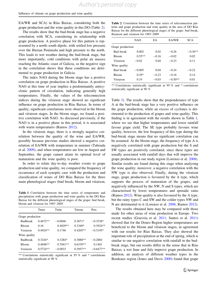<span id="page-6-0"></span>Influence of climate on grape production and wine quality

EA/WR and SCA) in Rías Baixas, considering both the grape production and the wine quality in this DO (Table 2).

The results show that the bud-break stage has a negative correlation with SCA, considering its relationship with grape production. A positive phase for this pattern is represented by a north–south dipole, with settled low pressure over the Iberian Peninsula and high pressure to the north. This leads to wet weather during the bud-break stage, but more importantly, cold conditions with polar air masses reaching the Atlantic coast of Galicia, so the negative sign in the correlation shows that these conditions are detrimental to grape production in Galicia.

The index NAO during the bloom stage has a positive correlation on grape production in Rías Baixas. A positive NAO at this time of year implies a predominantly anticyclonic pattern of circulation, indicating generally high temperatures. Finally, the values of the teleconnection indices during the véraison stage showed no significant influence on grape production in Rías Baixas. In terms of quality, significant correlations were observed in the bloom and véraison stages. In the bloom stage, we found a positive correlation with NAO. As discussed previously, if the NAO is in a positive phase in this period, it is associated with warm temperatures (Ramos [2012\)](#page-11-0).

In the véraison stage, there is a strongly negative correlation between the quality of the wine and EA/WR, possibly because previous studies showed a negative correlation of EA/WR with temperature in summer (Taboada et al. [2009\)](#page-11-0), and when temperatures are low in August and September, the grape cannot attain its optimal level of maturation and the wine quality is poor.

In order to relate day-to-day weather events to grape production and wine quality, we compared the frequency of occurrence of each synoptic case with the production and classification of wines of DO Rías Baixas for the three main phenological stages (bud break, bloom and véraison;

Table 1 Correlation between the time series of temperature and precipitation with grape production and wine quality in the DO Rias Baixas for the different phenological stages of the grape: bud break, bloom and véraison for 1987–2005

|                  | Tmax       | Tmin       | Tmean      | Prec        |
|------------------|------------|------------|------------|-------------|
| Grape production |            |            |            |             |
| <b>Budbreak</b>  | $0.4672**$ | $-0.0046$  | $0.3671*$  | $-0.3538*$  |
| <b>Bloom</b>     | 0.16       | $0.4829**$ | $0.3340*$  | $0.3924**$  |
| Veraison         | $0.4924**$ | 0.1746     | $0.4205**$ | $-0.3195*$  |
| Wine quality     |            |            |            |             |
| <b>Budbreak</b>  | $0.3244*$  | $0.3284*$  | 0.3888**   | $-0.2884$   |
| <b>Bloom</b>     | $0.4848**$ | $0.7041**$ | $0.6339**$ | 0.1481      |
| Veraison         | $0.5724**$ | $-0.0033$  | $0.3957**$ | $-0.6477**$ |
|                  |            |            |            |             |

\*\* Correlations statistically significant at 95 % and \* correlations statistically significant at 90 %

Table 2 Correlation between the time series of teleconnection patterns and grape production and wine quality in the area of DO Rías Baixas for the different phenological stages of the grape: bud break, floraison and véraison for 1987–2009

|                  | NAO      | EA.     | EA/WR     | <b>SCA</b> |
|------------------|----------|---------|-----------|------------|
| Grape production |          |         |           |            |
| Bud break        | 0.002    | 0.02    | $-0.26$   | $-0.36**$  |
| <b>Bloom</b>     | $0.55**$ | $-0.16$ | $-0.02$   | 0.02       |
| Véraison         | $-0.02$  | 0.04    | $-0.23$   | 0.11       |
| Wine quality     |          |         |           |            |
| <b>Bud break</b> | $-0.005$ | 0.04    | $-0.24$   | $-0.22$    |
| <b>Bloom</b>     | $0.29*$  | $-0.23$ | $-0.16$   | 0.14       |
| Véraison         | 0.19     | $-0.03$ | $-0.50**$ | 0.01       |

\*\* Correlations statistically significant at 95 % and \* correlations statistically significant at 90 %

Table [3](#page-7-0)). The results show that the preponderance of type A at the bud-break stage has a very positive influence on the grape production, while an excess of cyclones is detrimental to the production of grapes and wine quality. This finding is in agreement with the results shown in Table 1, where we see that higher temperatures and lower rainfall favour grape yield. The SE type probably favours wine quality; however, the low frequency of this type during the bud-break stage means that no significant correlation can be assumed. At the bloom stage, the frequency of type A is negatively correlated with grape production but the S and SW types are positively correlated, since these types are usually associated with rainfall days that will improve the grape production in our study region (Lorenzo et al. [2008](#page-11-0)). Similar results are found during this stage when analysing the wine quality; moreover, a negative correlation with the NW type is also observed. Finally, during the véraison stage, grape production is favoured by the A type, which supports the process of maturation of the grapes, and negatively influenced by the NW, N and S types, which are characterised by lower temperatures and sporadic rains (Ramos [2012\)](#page-11-0). Wine quality is also favoured by the A type, but the rainy types C and SW and the colder types NW and N are detrimental to it (Lorenzo et al. [2008](#page-11-0); Ramos [2012](#page-11-0)).

The results obtained here may be compared with those made for other areas of wine production in Europe. Two recent studies (Gouveia et al. [2011;](#page-11-0) Santos et al. [2011\)](#page-11-0) showed that for the Douro Region higher temperatures are beneficial to the bloom and véraison stages, in agreement with our results for Rías Baixas. They also showed the important role of precipitation at the end of spring, which is similar to our negative correlation with rainfall in the budbreak stage, but our results differ in the sense that in Rías Baixas, a wet June and July improve grape production. In addition, an analysis of different weather types in the Bordeaux region (Jones and Davis [2000](#page-11-0)) found that grape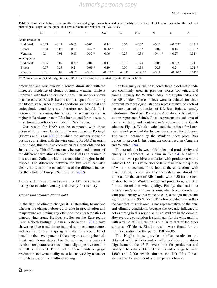|                  | <b>NE</b> | E       | <b>SE</b> | S         | <b>SW</b> | W        | NW        | N         | C         | A         |
|------------------|-----------|---------|-----------|-----------|-----------|----------|-----------|-----------|-----------|-----------|
| Grape production |           |         |           |           |           |          |           |           |           |           |
| Bud break        | $-0.13$   | $-0.17$ | $-0.06$   | $-0.02$   | 0.14      | 0.03     | $-0.07$   | $-0.12$   | $-0.42**$ | $0.44**$  |
| Bloom            | $-0.14$   | $-0.08$ | $-0.09$   | $0.47**$  | $0.38**$  | 0.1      | $-0.07$   | 0.02      | 0.14      | $-0.36**$ |
| Véraison         | $-0.1$    | 0.01    | $-0.19$   | $-0.37**$ | 0.06      | $-0.27$  | $-0.34*$  | $-0.44**$ | $-0.27$   | $0.31*$   |
| Wine quality     |           |         |           |           |           |          |           |           |           |           |
| Bud break        | $-0.15$   | 0.09    | $0.31*$   | 0.04      | $-0.11$   | $-0.16$  | $-0.24$   | $-0.06$   | $-0.31*$  | 0.21      |
| <b>Bloom</b>     | 0.07      | 0.25    | 0.2       | $0.61**$  | 0.19      | $-0.09$  | $-0.34*$  | 0.23      | 0.2       | $-0.51**$ |
| Véraison         | 0.11      | 0.02    | $-0.06$   | $-0.16$   | $-0.37**$ | $-0.31*$ | $-0.41**$ | $-0.11$   | $-0.36**$ | $0.51**$  |

<span id="page-7-0"></span>Table 3 Correlation between the weather types and grape production and wine quality in the area of DO Rías Baixas for the different phenological stages of the grape: bud break, bloom and véraison for 1987–2009

\*\* Correlations statistically significant at 95 % and \* correlations statistically significant at 90 %

production and wine quality in general diminished with the increased incidence of cloudy or humid weather, while it improved with hot and dry conditions. Our analysis shows that the case of Rías Baixas is similar, apart from during the bloom stage, when humid conditions are beneficial and anticyclonic conditions are therefore not helpful. It is noteworthy that during this period, the average rainfall is higher in Bordeaux than in Rías Baixas, and for this reason, more humid conditions can benefit Rías Baixas.

Our results for NAO can be compared with those obtained for an area located on the west coast of Portugal (Esteves and Orgaz [2001\)](#page-11-0), in which the authors showed a positive correlation with the wine quality for NAO in April. In our case, this positive correlation has been obtained for June and July. This difference may be explained in terms of the different correlations between the NAO and climate in this area and Galicia, which is a transitional region in this respect. The difference between the two areas can also clearly be seen in the calculations of the different indices for the whole of Europe (Santos et al. [2012](#page-11-0)).

Trends in temperature and rainfall for DO Rías Baixas during the twentieth century and twenty-first century

#### Trends with weather station data

In the light of climate change, it is interesting to analyse whether the changes observed to date in precipitation and temperature are having any effect on the characteristics of winegrowing areas. Previous studies on the Euro-region Galicia-North Portugal (Gomez-Gesteira et al. [2011\)](#page-11-0) have shown positive trends in spring and summer temperatures and positive trends in spring rainfalls. This could be of benefit to the development of the vineyards during the budbreak and bloom stages. For the autumn, no significant trends in temperature are seen, but a slight positive trend in rainfall is observed. The effect of these trends on grape production and wine quality must be analysed by means of the indices used in viticultural zoning.

For this analysis, we considered three bioclimatic indices commonly used in previous works for viticultural zoning, namely the Winkler index, the Huglin index and the BBL index. These indices were calculated for three different meteorological stations representative of each of the sub-areas of production of DO Rías Baixas, namely Ribadumia, Rosal and Ponteareas-Canedo (the Ribadumia station represents Salnés, Rosal represents the sub-area of the same name, and Ponteareas-Canedo represents Condado, see Fig. [1](#page-4-0)). We also calculated the indices for Lourizán, which provided the longest time series for this area. The values obtained by the Winkler index place Rías Baixas in Region I, this being the coolest region (Amerine and Winkler [1944](#page-10-0)).

The correlation between this index and productivity and quality is significant, as shown in Table [4](#page-8-0). Ribadumia station shows a positive correlation with production with a value of 0.55. This value rises to 0.62 if we take the quality of wine into account. If we look at the correlations with Rosal station, we can see that the values are almost the same as for the case of Ribadumia, with 0.50 for the correlation between Winkler index and production, and 0.55 for the correlation with quality. Finally, the station at Ponteareas-Canedo shows a somewhat lower correlation with productivity with a value of 0.43, although this is still significant at the 95 % level. This lower value may reflect the fact that this sub-area is not representative of the general climatic conditions, because the oceanic influence is not as strong in this region as it is elsewhere in the domain. However, the correlation is significant for the wine quality, with a value of 0.61, which is similar to that of the other sub-areas (Table [4\)](#page-8-0). Similar results were found for the Lourizán station for the period 1987–2005.

The Huglin index provides similar results to the obtained with Winkler index, with positive correlations (significant at the 95 % level) both for production and quality. The values obtained for this index range between 1,600 and 2,200 which situates the DO Rías Baixas somewhere between cool and temperate climate.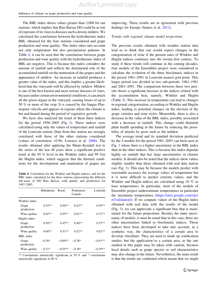#### <span id="page-8-0"></span>Influence of climate on grape production and wine quality

The BBL index shows values greater than 2,000 for our stations, which implies that Rías Baixas DO could be at risk of exposure of its vines to diseases such a downy mildew. We calculated the correlations between the hydrothermic index BBL obtained for the four stations considered and grape production and wine quality. This index takes into account not only temperature but also precipitation patterns. In Table 4, it can be seen that the correlations between grape production and wine quality with the hydrothermic index of BBL are negative. This is because this index considers the amount of rainfall and reflects the detrimental role of the accumulated rainfall on the maturation of the grapes and the appearance of mildew. An increase in rainfall produces a greater value of the index, and this implies a greater likelihood that the vineyards will be affected by mildew. Mildew is one of the best known and most serious diseases of vines, because under certain environmental conditions, it can attack all the green organs in the vineyard, causing losses of up to 50 % or more of the crop. It is caused by the fungus Plasmopara viticola and appears in regions where the climate is hot and humid during the period of vegetative growth.

We have also analysed the trend of these three indices for the period 1958–2005 (Fig. [2\)](#page-9-0). These indices were calculated using only the values of temperature and rainfall of the Lourizán station. Data from this station are strongly correlated with those of the other stations considered (values of correlation  $>0.96$ ; Lorenzo et al. [2008\)](#page-11-0). The results obtained after applying the Mann–Kendall test to the series of the last 48 years show a significant positive trend at the 95 % level in the Winkler index and 99 %in the Huglin index, which suggests that the thermal conditions for the development and maturation of grapes are

Table 4 Correlation for the Winkler and Huglin indices, and for the BBL index calculated for the three stations representing the different sub-areas of DO Rías Baixas, with quality and production for 1987–2005

|                     | Ribadumia | Rosal     | Ponteareas-<br>Canedo | Lourizán  |
|---------------------|-----------|-----------|-----------------------|-----------|
| Winkler index       |           |           |                       |           |
| Grape<br>production | $0.55**$  | $0.50**$  | $0.43**$              | $0.59**$  |
| Wine quality        | $0.62**$  | $0.55**$  | $0.61**$              | $0.72**$  |
| Huglin index        |           |           |                       |           |
| Grape<br>production | $0.58**$  | $0.45**$  | $0.40**$              | $0.57**$  |
| Wine quality        | $0.60**$  | $0.51**$  | $0.52**$              | $0.62**$  |
| BBL index           |           |           |                       |           |
| Grape<br>production | $-0.36*$  | $-0.60**$ | $-0.38*$              | $-0.41**$ |
| Wine quality        | $-0.31*$  | $-0.55**$ | $-0.38*$              | $-0.39**$ |

\*\* Correlations statistically significant at 95 % and \* correlations statistically significant at 90 %

improving. These results are in agreement with previous findings for Europe (Santos et al. [2012\)](#page-11-0).

#### Trends with regional climate model projections

The previous results obtained with weather station data lead us to think that one would expect changes in the categorisation of wine if the present rates of Winkler and Huglin indices continues into the twenty-first century. To study if these trends will continue in the coming decades, four models of the Ensembles project were considered to calculate the evolution of the three bioclimatic indices in the period 1961–2091 in Lourizán nearest grid point. This larger period was divided in two sub-periods: 1961–1991 and 2061–2091. The comparison between these two periods shows a significant increase in the indices related with the accumulation heat, namely, Winkler and Huglin (Table [5\)](#page-9-0). This increase in temperature can lead to changes in regional categorisation, according to Winkler and Huglin index, leading to potential changes on the election of the grape varieties and wine styles. Meanwhile, there is also a decrease in the value of the BBL index, possibly associated with a decrease in rainfall. This change could diminish plant health spending in the future by reducing the possibility of attacks by pests such as the mildew.

The average trend and its standard deviation predicted by the 4 models for the period 1961–2091 can been seen in Fig. [3](#page-10-0) where there is a higher uncertainty in the BBL index than in the other indices. This is because this index depends highly on rainfall that has large uncertainties in climate models. It should also be noted that the indices show values slightly smaller than those obtained with real data station (see Fig. [3\)](#page-10-0). This may be because the models predict with reasonable accuracy the average values of temperature but it is more difficult to predict extreme values, and the Winkler and Huglin indices are calculated using  $10^{\circ}$ C as base temperatures. In particular, most of the models of Ensemble project underestimate temperatures in particular the maximum temperatures ([https://sites.google.com/site/](https://sites.google.com/site/rt3validation/) [rt3validation/](https://sites.google.com/site/rt3validation/)). If we compare values of the Huglin index obtained with real data with the results of the model (Fig. [3\)](#page-10-0), we can appreciate a significant bias that is maintained for the future projections. Besides the inner uncertainty of models, it must be noted that in this case, there are other uncertainties linked to bioclimatic indices. Those indices have been developed to take into account, in a synthetic way, the characteristics of a certain area to develop viticulture. They are used to made up zonification studies, but the application to a certain area, as the one studied in this paper may be taken with caution, because local details such as grape species or soil characteristics may also change in the future. Nevertheless, the main result is that the trends are confirmed which means that we might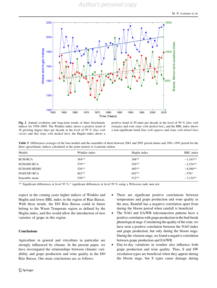<span id="page-9-0"></span>

Fig. 2 Annual evolution and long-term trends of three bioclimatic indices for 1958–2005: The Winkler index shows a positive trend of 36 growing degree days per decade at the level of 95 % (line with circles and thin slope with dashed line), the Huglin index shows a

positive trend of 50 units per decade at the level of 99 % (line with triangles and wide slope with dashed line), and the BBL index shows a non-significant trend (line with squares and slope with dotted line)

Table 5 Differences averages of the four models and the ensemble of them between 2061 and 2091 period minus and 1961–1991 period for the three agroclimatic indices calculated at the point nearest to Lourizán station

| Models         | Winkler index | Huglin index | <b>BBL</b> index |
|----------------|---------------|--------------|------------------|
| <b>BCM-RCA</b> | 384**         | $368**$      | $-1,163**$       |
| ECHAM5-RCA     | 579**         | $556**$      | $-2,234**$       |
| ECHAM5-REMO    | $526**$       | $485**$      | $-8,560**$       |
| HADCM3-RCA     | $662**$       | $642**$      | $-576*$          |
| Ensemble mean  | 538**         | $512**$      | $-3.134**$       |

\*\* Significant differences at level 95 %,\* significant differences at level 99 % using a Wilcoxon rank sum test

expect in the coming years higher indices of Winkler and Huglin and lower BBL index in the region of Rias Baixas. With these trends, the DO Rías Baixas could in future belong to the Warm Temperate region as defined by the Huglin index, and this would allow the introduction of new varieties of grape in this region.

## **Conclusions**

Agriculture in general and viticulture in particular are strongly influenced by climate. In the present paper, we have investigated the relationships between climatic variability and grape production and wine quality in the DO Rías Baixas. Our main conclusions are as follows:

- There are significant positive correlations between temperature and grape production and wine quality in the area. Rainfall has a negative correlation apart from during the bloom period when rainfall is beneficial.
- The NAO and EA/WR teleconnection patterns have a positive correlation with grape production in the bud-break phenological stage. Considering the quality of the wine, we have seen a positive correlation between the NAO index and grape production, but only during the bloom stage. During the véraison stage, we found a negative correlation between grape production and EA/WR.
- Day-to-day variations in weather also influence both grape production and wine quality. Thus, S and SW circulation types are beneficial when they appear during the bloom stage, but S types cause damage during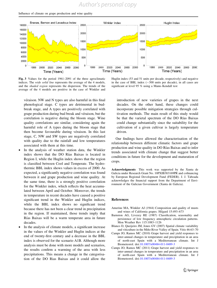# *Author's personal copy*

<span id="page-10-0"></span>Influence of climate on grape production and wine quality



Fig. 3 Values for the period 1961–2091 of the three agroclimatic indices. The wide solid line represents the average of the 4 models, and the shaded region represents the dispersion. The trends of the average of the 4 models are positive in the case of Winkler and

véraison. NW and N types are also harmful in this final phenological stage. C types are detrimental in budbreak stage, and A types are positively correlated with grape production during bud break and véraison, but the correlation is negative during the bloom stage. Wine quality correlations are similar, considering again the harmful role of A types during the bloom stage that then become favourable during véraison. In this last stage, C, NW and SW types are negatively correlated with quality due to the rainfall and low temperatures associated with them at this time.

- In the analysis of weather station data, the Winkler index shows that the DO Rías Baixas is located in Region I, while the Huglin index shows that the region is classified between Cool and Temperate. The hydrothermic BBL index shows values in excess of 2000. As expected, a significantly negative correlation was found between it and grape production and wine quality. At the same time, there is a strongly positive correlation for the Winkler index, which reflects the heat accumulated between April and October. Moreover, the trends in temperature in recent decades have caused a positive significant trend in the Winkler and Huglin indices, while the BBL index shows no significant trend because there has not been a clear trend in precipitation in the region. If maintained, those trends imply that Rías Baixas will be a warm temperate area in future decades.
- In the analysis of climate models, a significant increase in the values of the Winkler and Huglin indices at the end of twenty-first century and a decrease in the BBL index is observed for the scenario A1B. Although more analysis must be done with more models and scenarios, the results confirm a warming of the area with less precipitations. This means a change in the categorisation of the DO Rias Baixas and it could allow the

Huglin index (53 and 51 units per decade, respectively) and negative in the case of BBL index  $(-300)$  units per decade), in all cases are significant at level 95 % using a Mann–Kendall test

introduction of new varieties of grapes in the next decades. On the other hand, these changes could incorporate possible mitigation strategies through cultivation methods. The main result of this study would be that the varietal spectrum of the DO Rías Baixas could change substantially since the suitability for the cultivation of a given cultivar is largely temperature driven.

Our findings have allowed the characterisation of the relationship between different climatic factors and grape production and wine quality in DO Rı´as Baixas and to infer trends associated with climate change that suggest better conditions in future for the development and maturation of crops.

Acknowledgments This work was supported by the Xunta de Galicia under Research Grant No. 10PXIB383169PR and cofinancing by European Regional Development Fund (FEDER). J. J. Taboada acknowledges the financial support from the Department of Environment of the Galician Government (Xunta de Galicia).

#### References

- Amerine MA, Winkler AJ (1944) Composition and quality of musts and wines of California grapes. Hilgard 15:493–673
- Barnston AG, Livezey RE (1987) Classification, seasonality and persistence of low frequency atmospheric circulation patterns. Mon Weather Rev 115:1083–1126
- Blanco D, Queijeiro JM, Jones GV (2007) Spatial climate variability and viticulture in the Miño River Valley of Spain. Vitis 46:63-70
- Camps JO, Ramos MC (2010) Grape harvest and yield responses to inter-annual changes in temperature and precipitation in an area of north-east Spain with a Mediterranean climate. Int J Biometeorol. doi:[10.1007/s00484-011-0489-3](http://dx.doi.org/10.1007/s00484-011-0489-3)
- Camps JO, Ramos MC (2011) Grape harvest and yield responses to inter-annual changes in temperature and precipitation in an area of north-east Spain with a Mediterranean climate. Int J Biometeorol. doi:[10.1007/s00484-011-0489-3](http://dx.doi.org/10.1007/s00484-011-0489-3)